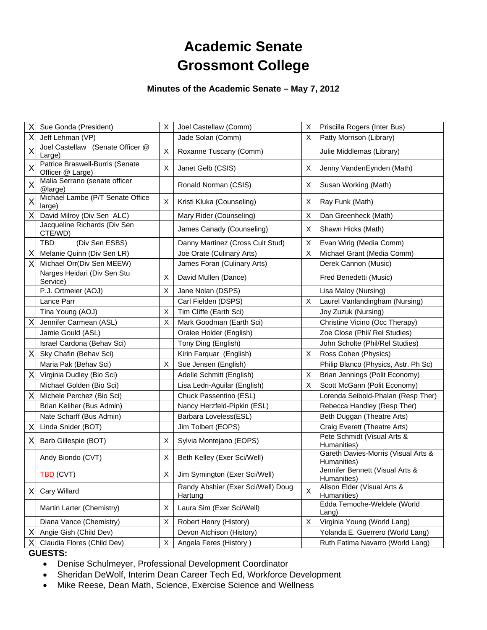# **Academic Senate Grossmont College**

# **Minutes of the Academic Senate – May 7, 2012**

| Χ                       | Sue Gonda (President)                               | X  | Joel Castellaw (Comm)                         | X | Priscilla Rogers (Inter Bus)                       |
|-------------------------|-----------------------------------------------------|----|-----------------------------------------------|---|----------------------------------------------------|
| Χ                       | Jeff Lehman (VP)                                    |    | Jade Solan (Comm)                             | X | Patty Morrison (Library)                           |
| $\overline{\mathsf{X}}$ | Joel Castellaw (Senate Officer @<br>Large)          | X  | Roxanne Tuscany (Comm)                        |   | Julie Middlemas (Library)                          |
| X                       | Patrice Braswell-Burris (Senate<br>Officer @ Large) | X  | Janet Gelb (CSIS)                             | X | Jenny VandenEynden (Math)                          |
| X                       | Malia Serrano (senate officer<br>@large)            |    | Ronald Norman (CSIS)                          | Χ | Susan Working (Math)                               |
| X                       | Michael Lambe (P/T Senate Office<br>large)          | X  | Kristi Kluka (Counseling)                     | Χ | Ray Funk (Math)                                    |
| X                       | David Milroy (Div Sen ALC)                          |    | Mary Rider (Counseling)                       | X | Dan Greenheck (Math)                               |
|                         | Jacqueline Richards (Div Sen<br>CTE/WD)             |    | James Canady (Counseling)                     | X | Shawn Hicks (Math)                                 |
|                         | TBD<br>(Div Sen ESBS)                               |    | Danny Martinez (Cross Cult Stud)              | X | Evan Wirig (Media Comm)                            |
| X                       | Melanie Quinn (Div Sen LR)                          |    | Joe Orate (Culinary Arts)                     | X | Michael Grant (Media Comm)                         |
| Χ                       | Michael Orr(Div Sen MEEW)                           |    | James Foran (Culinary Arts)                   |   | Derek Cannon (Music)                               |
|                         | Narges Heidari (Div Sen Stu<br>Service)             | Χ  | David Mullen (Dance)                          |   | Fred Benedetti (Music)                             |
|                         | P.J. Ortmeier (AOJ)                                 | X  | Jane Nolan (DSPS)                             |   | Lisa Maloy (Nursing)                               |
|                         | Lance Parr                                          |    | Carl Fielden (DSPS)                           | X | Laurel Vanlandingham (Nursing)                     |
|                         | Tina Young (AOJ)                                    | X  | Tim Cliffe (Earth Sci)                        |   | Joy Zuzuk (Nursing)                                |
| Χ                       | Jennifer Carmean (ASL)                              | X  | Mark Goodman (Earth Sci)                      |   | Christine Vicino (Occ Therapy)                     |
|                         | Jamie Gould (ASL)                                   |    | Oralee Holder (English)                       |   | Zoe Close (Phil/ Rel Studies)                      |
|                         | Israel Cardona (Behav Sci)                          |    | Tony Ding (English)                           |   | John Scholte (Phil/Rel Studies)                    |
| Χ                       | Sky Chafin (Behav Sci)                              |    | Kirin Farquar (English)                       | X | Ross Cohen (Physics)                               |
|                         | Maria Pak (Behav Sci)                               | X  | Sue Jensen (English)                          |   | Philip Blanco (Physics, Astr. Ph Sc)               |
| Χ                       | Virginia Dudley (Bio Sci)                           |    | Adelle Schmitt (English)                      | Χ | Brian Jennings (Polit Economy)                     |
|                         | Michael Golden (Bio Sci)                            |    | Lisa Ledri-Aguilar (English)                  | X | Scott McGann (Polit Economy)                       |
| Χ                       | Michele Perchez (Bio Sci)                           |    | Chuck Passentino (ESL)                        |   | Lorenda Seibold-Phalan (Resp Ther)                 |
|                         | Brian Keliher (Bus Admin)                           |    | Nancy Herzfeld-Pipkin (ESL)                   |   | Rebecca Handley (Resp Ther)                        |
|                         | Nate Scharff (Bus Admin)                            |    | Barbara Loveless(ESL)                         |   | Beth Duggan (Theatre Arts)                         |
| Χ                       | Linda Snider (BOT)                                  |    | Jim Tolbert (EOPS)                            |   | Craig Everett (Theatre Arts)                       |
| X                       | Barb Gillespie (BOT)                                | X  | Sylvia Montejano (EOPS)                       |   | Pete Schmidt (Visual Arts &<br>Humanities)         |
|                         | Andy Biondo (CVT)                                   | X  | Beth Kelley (Exer Sci/Well)                   |   | Gareth Davies-Morris (Visual Arts &<br>Humanities) |
|                         | TBD (CVT)                                           | X. | Jim Symington (Exer Sci/Well)                 |   | Jennifer Bennett (Visual Arts &<br>Humanities)     |
| X                       | Cary Willard                                        |    | Randy Abshier (Exer Sci/Well) Doug<br>Hartung | X | Alison Elder (Visual Arts &<br>Humanities)         |
|                         | Martin Larter (Chemistry)                           | Х  | Laura Sim (Exer Sci/Well)                     |   | Edda Temoche-Weldele (World<br>$L$ ang)            |
|                         | Diana Vance (Chemistry)                             | X  | Robert Henry (History)                        | X | Virginia Young (World Lang)                        |
| Χ                       | Angie Gish (Child Dev)                              |    | Devon Atchison (History)                      |   | Yolanda E. Guerrero (World Lang)                   |
|                         | Claudia Flores (Child Dev)                          | X  | Angela Feres (History)                        |   | Ruth Fatima Navarro (World Lang)                   |

## **GUESTS:**

- Denise Schulmeyer, Professional Development Coordinator
- Sheridan DeWolf, Interim Dean Career Tech Ed, Workforce Development
- Mike Reese, Dean Math, Science, Exercise Science and Wellness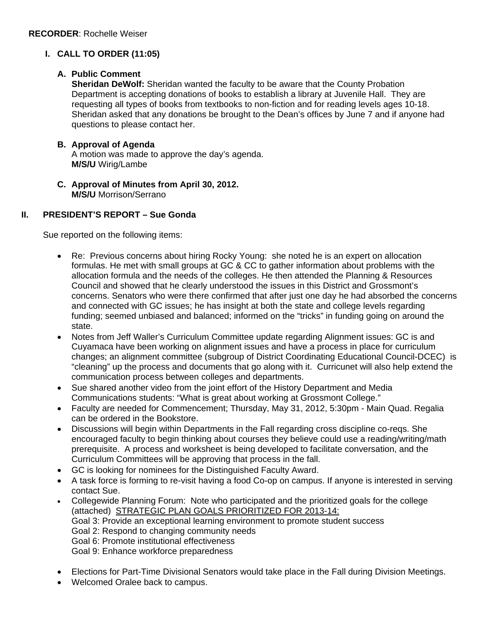# **I. CALL TO ORDER (11:05)**

# **A. Public Comment**

**Sheridan DeWolf:** Sheridan wanted the faculty to be aware that the County Probation Department is accepting donations of books to establish a library at Juvenile Hall. They are requesting all types of books from textbooks to non-fiction and for reading levels ages 10-18. Sheridan asked that any donations be brought to the Dean's offices by June 7 and if anyone had questions to please contact her.

# **B. Approval of Agenda**

A motion was made to approve the day's agenda. **M/S/U** Wirig/Lambe

**C. Approval of Minutes from April 30, 2012. M/S/U** Morrison/Serrano

# **II. PRESIDENT'S REPORT – Sue Gonda**

Sue reported on the following items:

- Re: Previous concerns about hiring Rocky Young: she noted he is an expert on allocation formulas. He met with small groups at GC & CC to gather information about problems with the allocation formula and the needs of the colleges. He then attended the Planning & Resources Council and showed that he clearly understood the issues in this District and Grossmont's concerns. Senators who were there confirmed that after just one day he had absorbed the concerns and connected with GC issues; he has insight at both the state and college levels regarding funding; seemed unbiased and balanced; informed on the "tricks" in funding going on around the state.
- Notes from Jeff Waller's Curriculum Committee update regarding Alignment issues: GC is and Cuyamaca have been working on alignment issues and have a process in place for curriculum changes; an alignment committee (subgroup of District Coordinating Educational Council-DCEC) is "cleaning" up the process and documents that go along with it. Curricunet will also help extend the communication process between colleges and departments.
- Sue shared another video from the joint effort of the History Department and Media Communications students: "What is great about working at Grossmont College."
- Faculty are needed for Commencement; Thursday, May 31, 2012, 5:30pm Main Quad. Regalia can be ordered in the Bookstore.
- Discussions will begin within Departments in the Fall regarding cross discipline co-reqs. She encouraged faculty to begin thinking about courses they believe could use a reading/writing/math prerequisite. A process and worksheet is being developed to facilitate conversation, and the Curriculum Committees will be approving that process in the fall.
- GC is looking for nominees for the Distinguished Faculty Award.
- A task force is forming to re-visit having a food Co-op on campus. If anyone is interested in serving contact Sue.
- Collegewide Planning Forum: Note who participated and the prioritized goals for the college (attached) STRATEGIC PLAN GOALS PRIORITIZED FOR 2013-14: Goal 3: Provide an exceptional learning environment to promote student success Goal 2: Respond to changing community needs Goal 6: Promote institutional effectiveness Goal 9: Enhance workforce preparedness
- Elections for Part-Time Divisional Senators would take place in the Fall during Division Meetings.
- Welcomed Oralee back to campus.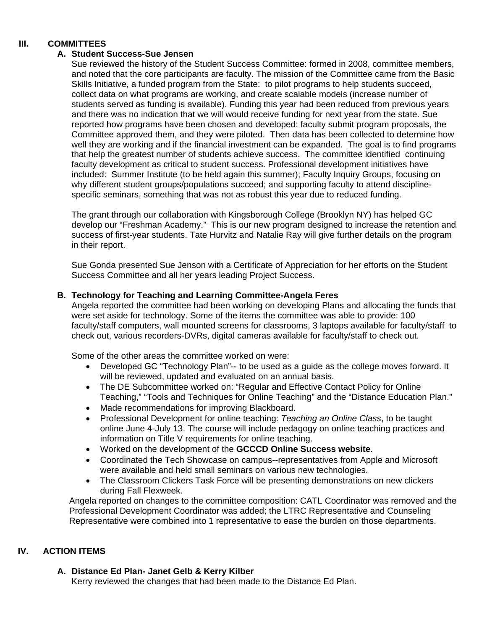# **III. COMMITTEES**

## **A. Student Success-Sue Jensen**

Sue reviewed the history of the Student Success Committee: formed in 2008, committee members, and noted that the core participants are faculty. The mission of the Committee came from the Basic Skills Initiative, a funded program from the State: to pilot programs to help students succeed, collect data on what programs are working, and create scalable models (increase number of students served as funding is available). Funding this year had been reduced from previous years and there was no indication that we will would receive funding for next year from the state. Sue reported how programs have been chosen and developed: faculty submit program proposals, the Committee approved them, and they were piloted. Then data has been collected to determine how well they are working and if the financial investment can be expanded. The goal is to find programs that help the greatest number of students achieve success. The committee identified continuing faculty development as critical to student success. Professional development initiatives have included: Summer Institute (to be held again this summer); Faculty Inquiry Groups, focusing on why different student groups/populations succeed; and supporting faculty to attend disciplinespecific seminars, something that was not as robust this year due to reduced funding.

The grant through our collaboration with Kingsborough College (Brooklyn NY) has helped GC develop our "Freshman Academy." This is our new program designed to increase the retention and success of first-year students. Tate Hurvitz and Natalie Ray will give further details on the program in their report.

Sue Gonda presented Sue Jenson with a Certificate of Appreciation for her efforts on the Student Success Committee and all her years leading Project Success.

## **B. Technology for Teaching and Learning Committee-Angela Feres**

Angela reported the committee had been working on developing Plans and allocating the funds that were set aside for technology. Some of the items the committee was able to provide: 100 faculty/staff computers, wall mounted screens for classrooms, 3 laptops available for faculty/staff to check out, various recorders-DVRs, digital cameras available for faculty/staff to check out.

Some of the other areas the committee worked on were:

- Developed GC "Technology Plan"-- to be used as a quide as the college moves forward. It will be reviewed, updated and evaluated on an annual basis.
- The DE Subcommittee worked on: "Regular and Effective Contact Policy for Online Teaching," "Tools and Techniques for Online Teaching" and the "Distance Education Plan."
- Made recommendations for improving Blackboard.
- Professional Development for online teaching: *Teaching an Online Class*, to be taught online June 4-July 13. The course will include pedagogy on online teaching practices and information on Title V requirements for online teaching.
- Worked on the development of the **GCCCD Online Success website**.
- Coordinated the Tech Showcase on campus--representatives from Apple and Microsoft were available and held small seminars on various new technologies.
- The Classroom Clickers Task Force will be presenting demonstrations on new clickers during Fall Flexweek.

Angela reported on changes to the committee composition: CATL Coordinator was removed and the Professional Development Coordinator was added; the LTRC Representative and Counseling Representative were combined into 1 representative to ease the burden on those departments.

# **IV. ACTION ITEMS**

# **A. Distance Ed Plan- Janet Gelb & Kerry Kilber**

Kerry reviewed the changes that had been made to the Distance Ed Plan.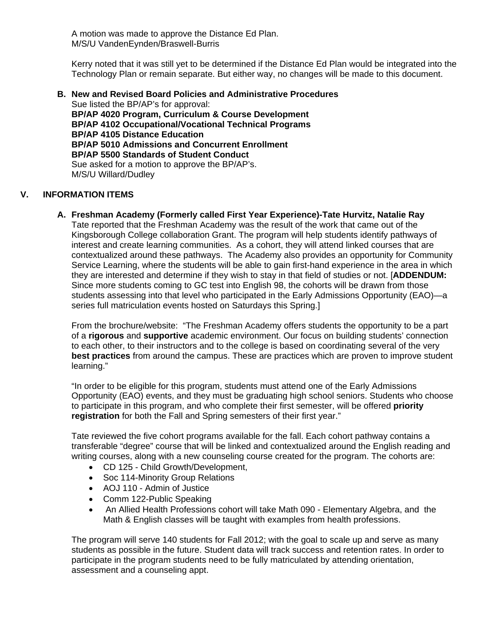A motion was made to approve the Distance Ed Plan. M/S/U VandenEynden/Braswell-Burris

Kerry noted that it was still yet to be determined if the Distance Ed Plan would be integrated into the Technology Plan or remain separate. But either way, no changes will be made to this document.

**B. New and Revised Board Policies and Administrative Procedures**  Sue listed the BP/AP's for approval: **BP/AP 4020 Program, Curriculum & Course Development BP/AP 4102 Occupational/Vocational Technical Programs BP/AP 4105 Distance Education BP/AP 5010 Admissions and Concurrent Enrollment BP/AP 5500 Standards of Student Conduct** Sue asked for a motion to approve the BP/AP's. M/S/U Willard/Dudley

# **V. INFORMATION ITEMS**

**A. Freshman Academy (Formerly called First Year Experience)-Tate Hurvitz, Natalie Ray** Tate reported that the Freshman Academy was the result of the work that came out of the Kingsborough College collaboration Grant. The program will help students identify pathways of interest and create learning communities. As a cohort, they will attend linked courses that are contextualized around these pathways. The Academy also provides an opportunity for Community Service Learning, where the students will be able to gain first-hand experience in the area in which they are interested and determine if they wish to stay in that field of studies or not. [**ADDENDUM:** Since more students coming to GC test into English 98, the cohorts will be drawn from those students assessing into that level who participated in the Early Admissions Opportunity (EAO)—a series full matriculation events hosted on Saturdays this Spring.]

From the brochure/website: "The Freshman Academy offers students the opportunity to be a part of a **rigorous** and **supportive** academic environment. Our focus on building students' connection to each other, to their instructors and to the college is based on coordinating several of the very **best practices** from around the campus. These are practices which are proven to improve student learning."

"In order to be eligible for this program, students must attend one of the Early Admissions Opportunity (EAO) events, and they must be graduating high school seniors. Students who choose to participate in this program, and who complete their first semester, will be offered **priority registration** for both the Fall and Spring semesters of their first year."

Tate reviewed the five cohort programs available for the fall. Each cohort pathway contains a transferable "degree" course that will be linked and contextualized around the English reading and writing courses, along with a new counseling course created for the program. The cohorts are:

- CD 125 Child Growth/Development,
- Soc 114-Minority Group Relations
- AOJ 110 Admin of Justice
- Comm 122-Public Speaking
- An Allied Health Professions cohort will take Math 090 Elementary Algebra, and the Math & English classes will be taught with examples from health professions.

The program will serve 140 students for Fall 2012; with the goal to scale up and serve as many students as possible in the future. Student data will track success and retention rates. In order to participate in the program students need to be fully matriculated by attending orientation, assessment and a counseling appt.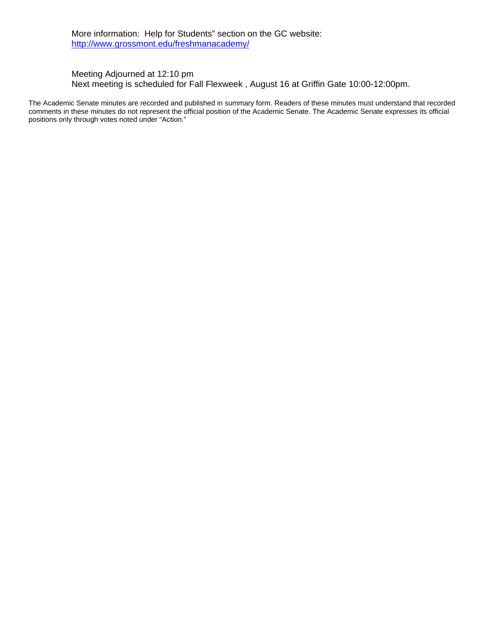More information: Help for Students" section on the GC website: http://www.grossmont.edu/freshmanacademy/

## Meeting Adjourned at 12:10 pm Next meeting is scheduled for Fall Flexweek , August 16 at Griffin Gate 10:00-12:00pm.

The Academic Senate minutes are recorded and published in summary form. Readers of these minutes must understand that recorded comments in these minutes do not represent the official position of the Academic Senate. The Academic Senate expresses its official positions only through votes noted under "Action."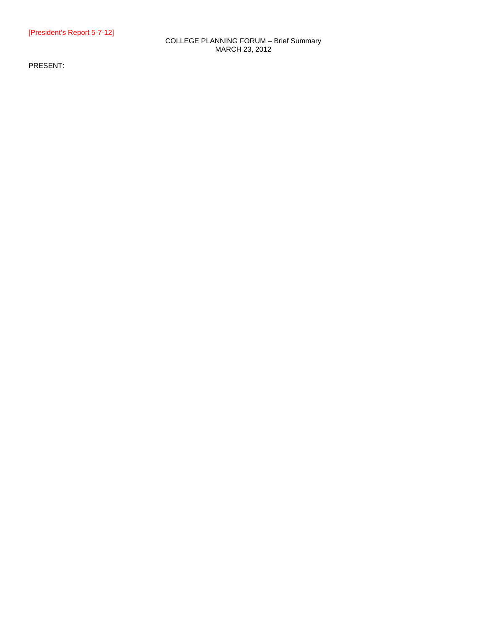### COLLEGE PLANNING FORUM – Brief Summary MARCH 23, 2012

PRESENT: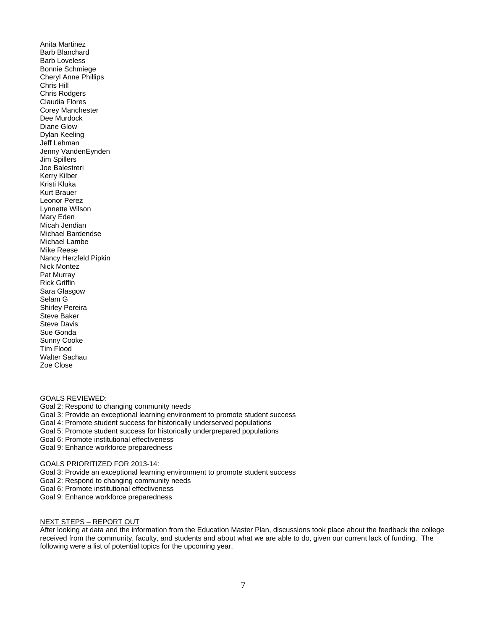Anita Martinez Barb Blanchard Barb Loveless Bonnie Schmiege Cheryl Anne Phillips Chris Hill Chris Rodgers Claudia Flores Corey Manchester Dee Murdock Diane Glow Dylan Keeling Jeff Lehman Jenny VandenEynden Jim Spillers Joe Balestreri Kerry Kilber Kristi Kluka Kurt Brauer Leonor Perez Lynnette Wilson Mary Eden Micah Jendian Michael Bardendse Michael Lambe Mike Reese Nancy Herzfeld Pipkin Nick Montez Pat Murray Rick Griffin Sara Glasgow Selam G Shirley Pereira Steve Baker Steve Davis Sue Gonda Sunny Cooke Tim Flood Walter Sachau Zoe Close

GOALS REVIEWED:

Goal 2: Respond to changing community needs

Goal 3: Provide an exceptional learning environment to promote student success

Goal 4: Promote student success for historically underserved populations

Goal 5: Promote student success for historically underprepared populations

Goal 6: Promote institutional effectiveness

Goal 9: Enhance workforce preparedness

GOALS PRIORITIZED FOR 2013-14:

Goal 3: Provide an exceptional learning environment to promote student success

Goal 2: Respond to changing community needs

Goal 6: Promote institutional effectiveness

Goal 9: Enhance workforce preparedness

#### NEXT STEPS – REPORT OUT

After looking at data and the information from the Education Master Plan, discussions took place about the feedback the college received from the community, faculty, and students and about what we are able to do, given our current lack of funding. The following were a list of potential topics for the upcoming year.